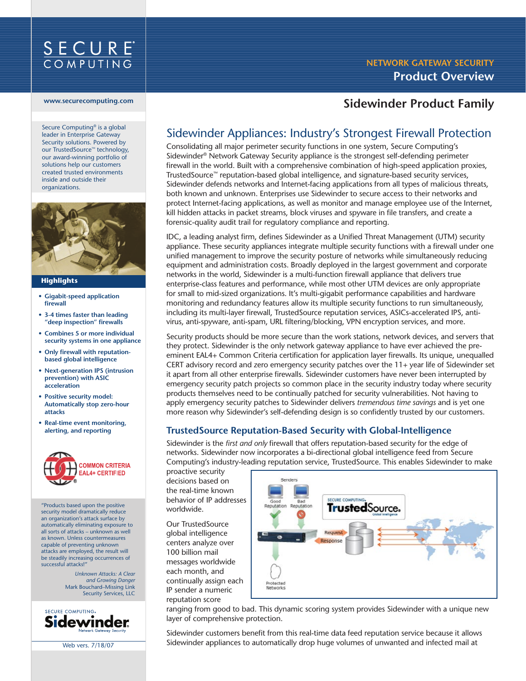

#### **www.securecomputing.com**

Secure Computing® is a global leader in Enterprise Gateway Security solutions. Powered by our TrustedSource™ technology, our award-winning portfolio of solutions help our customers created trusted environments inside and outside their organizations.



#### **Highlights**

- **• Gigabit-speed application firewall**
- **• 3-4 times faster than leading "deep inspection" firewalls**
- **• Combines 5 or more individual security systems in one appliance**
- **• Only firewall with reputationbased global intelligence**
- **• Next-generation IPS (intrusion prevention) with ASIC acceleration**
- **• Positive security model: Automatically stop zero-hour attacks**
- **• Real-time event monitoring, alerting, and reporting**



"Products based upon the positive security model dramatically reduce an organization's attack surface by automatically eliminating exposure to all sorts of attacks – unknown as well as known. Unless countermeasures capable of preventing unknown attacks are employed, the result will be steadily increasing occurrences of successful attacks!"

> *Unknown Attacks: A Clear and Growing Danger* Mark Bouchard–Missing Link Security Services, LLC



Web vers. 7/18/07

# **NETWORK GATEWAY SECURITY Product Overview**

## **Sidewinder Product Family**

# Sidewinder Appliances: Industry's Strongest Firewall Protection

Consolidating all major perimeter security functions in one system, Secure Computing's Sidewinder® Network Gateway Security appliance is the strongest self-defending perimeter firewall in the world. Built with a comprehensive combination of high-speed application proxies, TrustedSource™ reputation-based global intelligence, and signature-based security services, Sidewinder defends networks and Internet-facing applications from all types of malicious threats, both known and unknown. Enterprises use Sidewinder to secure access to their networks and protect Internet-facing applications, as well as monitor and manage employee use of the Internet, kill hidden attacks in packet streams, block viruses and spyware in file transfers, and create a forensic-quality audit trail for regulatory compliance and reporting.

IDC, a leading analyst firm, defines Sidewinder as a Unified Threat Management (UTM) security appliance. These security appliances integrate multiple security functions with a firewall under one unified management to improve the security posture of networks while simultaneously reducing equipment and administration costs. Broadly deployed in the largest government and corporate networks in the world, Sidewinder is a multi-function firewall appliance that delivers true enterprise-class features and performance, while most other UTM devices are only appropriate for small to mid-sized organizations. It's multi-gigabit performance capabilities and hardware monitoring and redundancy features allow its multiple security functions to run simultaneously, including its multi-layer firewall, TrustedSource reputation services, ASICs-accelerated IPS, antivirus, anti-spyware, anti-spam, URL filtering/blocking, VPN encryption services, and more.

Security products should be more secure than the work stations, network devices, and servers that they protect. Sidewinder is the only network gateway appliance to have ever achieved the preeminent EAL4+ Common Criteria certification for application layer firewalls. Its unique, unequalled CERT advisory record and zero emergency security patches over the 11+ year life of Sidewinder set it apart from all other enterprise firewalls. Sidewinder customers have never been interrupted by emergency security patch projects so common place in the security industry today where security products themselves need to be continually patched for security vulnerabilities. Not having to apply emergency security patches to Sidewinder delivers *tremendous time savings* and is yet one more reason why Sidewinder's self-defending design is so confidently trusted by our customers.

### **TrustedSource Reputation-Based Security with Global-Intelligence**

Sidewinder is the *first and only* firewall that offers reputation-based security for the edge of networks. Sidewinder now incorporates a bi-directional global intelligence feed from Secure Computing's industry-leading reputation service, TrustedSource. This enables Sidewinder to make

proactive security decisions based on the real-time known behavior of IP addresses worldwide.

Our TrustedSource global intelligence centers analyze over 100 billion mail messages worldwide each month, and continually assign each IP sender a numeric reputation score



ranging from good to bad. This dynamic scoring system provides Sidewinder with a unique new layer of comprehensive protection.

Sidewinder customers benefit from this real-time data feed reputation service because it allows Sidewinder appliances to automatically drop huge volumes of unwanted and infected mail at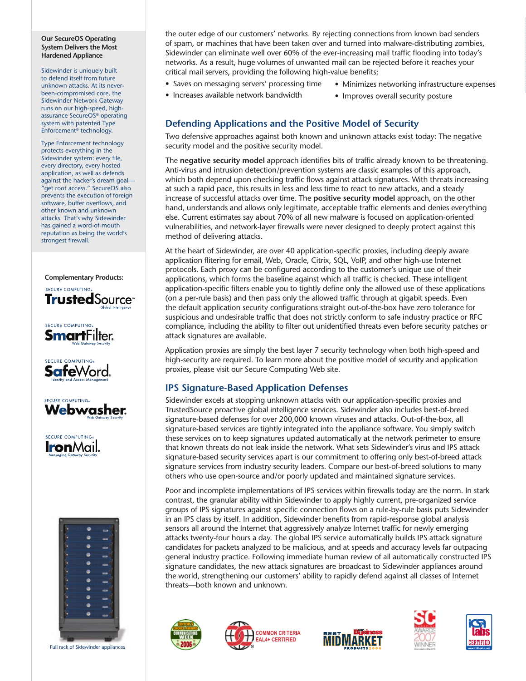#### **Our SecureOS Operating System Delivers the Most Hardened Appliance**

Sidewinder is uniquely built to defend itself from future unknown attacks. At its neverbeen-compromised core, the Sidewinder Network Gateway runs on our high-speed, highassurance SecureOS® operating system with patented Type Enforcement® technology.

Type Enforcement technology protects everything in the Sidewinder system: every file, every directory, every hosted application, as well as defends against the hacker's dream goal— "get root access." SecureOS also prevents the execution of foreign software, buffer overflows, and other known and unknown attacks. That's why Sidewinder has gained a word-of-mouth reputation as being the world's strongest firewall.

### **Complementary Products:**













Full rack of Sidewinder appliances

the outer edge of our customers' networks. By rejecting connections from known bad senders of spam, or machines that have been taken over and turned into malware-distributing zombies, Sidewinder can eliminate well over 60% of the ever-increasing mail traffic flooding into today's networks. As a result, huge volumes of unwanted mail can be rejected before it reaches your critical mail servers, providing the following high-value benefits:

- Saves on messaging servers' processing time
- Minimizes networking infrastructure expenses
- Increases available network bandwidth
- 
- Improves overall security posture

### **Defending Applications and the Positive Model of Security**

Two defensive approaches against both known and unknown attacks exist today: The negative security model and the positive security model.

The **negative security model** approach identifies bits of traffic already known to be threatening. Anti-virus and intrusion detection/prevention systems are classic examples of this approach, which both depend upon checking traffic flows against attack signatures. With threats increasing at such a rapid pace, this results in less and less time to react to new attacks, and a steady increase of successful attacks over time. The **positive security model** approach, on the other hand, understands and allows only legitimate, acceptable traffic elements and denies everything else. Current estimates say about 70% of all new malware is focused on application-oriented vulnerabilities, and network-layer firewalls were never designed to deeply protect against this method of delivering attacks.

At the heart of Sidewinder, are over 40 application-specific proxies, including deeply aware application flitering for email, Web, Oracle, Citrix, SQL, VoIP, and other high-use Internet protocols. Each proxy can be configured according to the customer's unique use of their applications, which forms the baseline against which all traffic is checked. These intelligent application-specific filters enable you to tightly define only the allowed use of these applications (on a per-rule basis) and then pass only the allowed traffic through at gigabit speeds. Even the default application security configurations straight out-of-the-box have zero tolerance for suspicious and undesirable traffic that does not strictly conform to safe industry practice or RFC compliance, including the ability to filter out unidentified threats even before security patches or attack signatures are available.

Application proxies are simply the best layer 7 security technology when both high-speed and high-security are required. To learn more about the positive model of security and application proxies, please visit our Secure Computing Web site.

### **IPS Signature-Based Application Defenses**

Sidewinder excels at stopping unknown attacks with our application-specific proxies and TrustedSource proactive global intelligence services. Sidewinder also includes best-of-breed signature-based defenses for over 200,000 known viruses and attacks. Out-of-the-box, all signature-based services are tightly integrated into the appliance software. You simply switch these services on to keep signatures updated automatically at the network perimeter to ensure that known threats do not leak inside the network. What sets Sidewinder's virus and IPS attack signature-based security services apart is our commitment to offering only best-of-breed attack signature services from industry security leaders. Compare our best-of-breed solutions to many others who use open-source and/or poorly updated and maintained signature services.

Poor and incomplete implementations of IPS services within firewalls today are the norm. In stark contrast, the granular ability within Sidewinder to apply highly current, pre-organized service groups of IPS signatures against specific connection flows on a rule-by-rule basis puts Sidewinder in an IPS class by itself. In addition, Sidewinder benefits from rapid-response global analysis sensors all around the Internet that aggressively analyze Internet traffic for newly emerging attacks twenty-four hours a day. The global IPS service automatically builds IPS attack signature candidates for packets analyzed to be malicious, and at speeds and accuracy levels far outpacing general industry practice. Following immediate human review of all automatically constructed IPS signature candidates, the new attack signatures are broadcast to Sidewinder appliances around the world, strengthening our customers' ability to rapidly defend against all classes of Internet threats—both known and unknown.









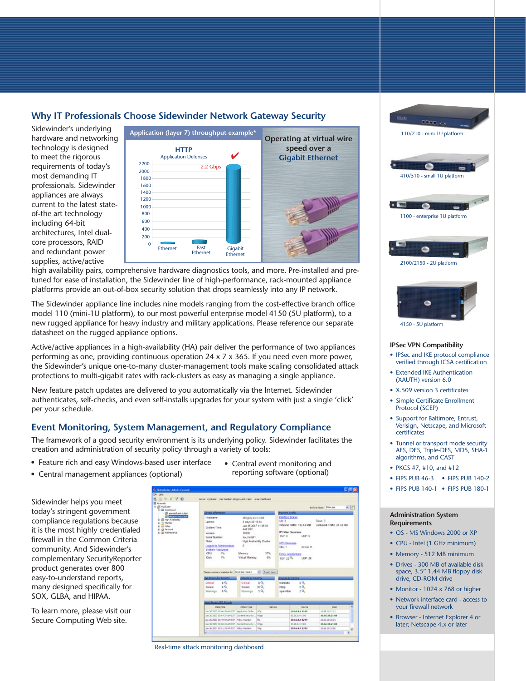### **Why IT Professionals Choose Sidewinder Network Gateway Security**

Sidewinder's underlying hardware and networking technology is designed to meet the rigorous requirements of today's most demanding IT professionals. Sidewinder appliances are always current to the latest stateof-the art technology including 64-bit architectures, Intel dualcore processors, RAID and redundant power supplies, active/active



high availability pairs, comprehensive hardware diagnostics tools, and more. Pre-installed and pretuned for ease of installation, the Sidewinder line of high-performance, rack-mounted appliance platforms provide an out-of-box security solution that drops seamlessly into any IP network.

The Sidewinder appliance line includes nine models ranging from the cost-effective branch office model 110 (mini-1U platform), to our most powerful enterprise model 4150 (5U platform), to a new rugged appliance for heavy industry and military applications. Please reference our separate datasheet on the rugged appliance options.

Active/active appliances in a high-availability (HA) pair deliver the performance of two appliances performing as one, providing continuous operation  $24 \times 7 \times 365$ . If you need even more power, the Sidewinder's unique one-to-many cluster-management tools make scaling consolidated attack protections to multi-gigabit rates with rack-clusters as easy as managing a single appliance.

New feature patch updates are delivered to you automatically via the Internet. Sidewinder authenticates, self-checks, and even self-installs upgrades for your system with just a single 'click' per your schedule.

### **Event Monitoring, System Management, and Regulatory Compliance**

The framework of a good security environment is its underlying policy. Sidewinder facilitates the creation and administration of security policy through a variety of tools:

- Feature rich and easy Windows-based user interface
- Central management appliances (optional)

Sidewinder helps you meet today's stringent government compliance regulations because it is the most highly credentialed firewall in the Common Criteria community. And Sidewinder's complementary SecurityReporter product generates over 800 easy-to-understand reports, many designed specifically for SOX, GLBA, and HIPAA.

To learn more, please visit our Secure Computing Web site.

• Central event monitoring and reporting software (optional)



Real-time attack monitoring dashboard





#### **IPSec VPN Compatibility**

- IPSec and IKE protocol compliance verified through ICSA certification
- Extended IKE Authentication (XAUTH) version 6.0
- X.509 version 3 certificates
- Simple Certificate Enrollment Protocol (SCEP)
- Support for Baltimore, Entrust, Verisign, Netscape, and Microsoft certificates
- Tunnel or transport mode security AES, DES, Triple-DES, MD5, SHA-1 algorithms, and CAST
- PKCS #7, #10, and #12
- FIPS PUB 46-3 FIPS PUB 140-2
- FIPS PUB 140-1 FIPS PUB 180-1

#### **Administration System Requirements**

- OS MS Windows 2000 or XP
- CPU Intel (1 GHz minimum)
- Memory 512 MB minimum
- Drives 300 MB of available disk space, 3.5" 1.44 MB floppy disk drive, CD-ROM drive
- Monitor 1024 x 768 or higher
- Network interface card access to your firewall network
- Browser Internet Explorer 4 or later; Netscape 4.x or later